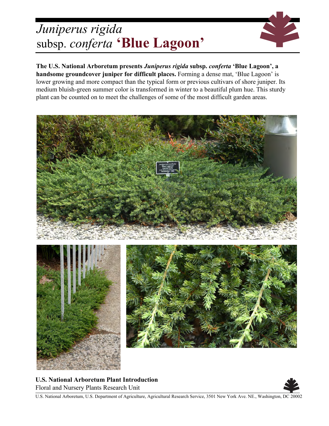## *Juniperus rigida* subsp. *conferta* **'Blue Lagoon'**



**The U.S. National Arboretum presents** *Juniperus rigida* **subsp.** *conferta* **'Blue Lagoon', a handsome groundcover juniper for difficult places.** Forming a dense mat, 'Blue Lagoon' is lower growing and more compact than the typical form or previous cultivars of shore juniper. Its medium bluish-green summer color is transformed in winter to a beautiful plum hue. This sturdy plant can be counted on to meet the challenges of some of the most difficult garden areas.



**U.S. National Arboretum Plant Introduction** Floral and Nursery Plants Research Unit



U.S. National Arboretum, U.S. Department of Agriculture, Agricultural Research Service, 3501 New York Ave. NE., Washington, DC 20002